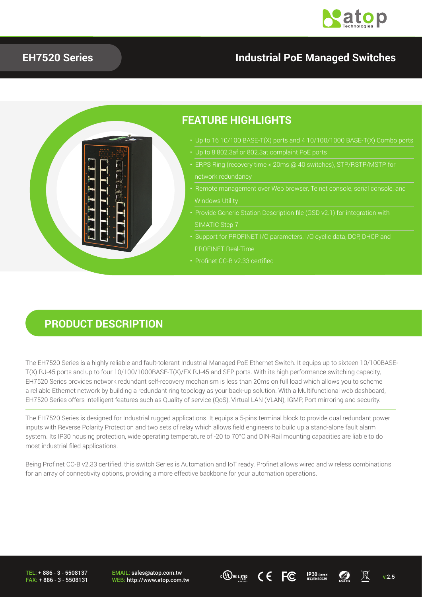

### **EH7520 Series Industrial PoE Managed Switches**



#### **PRODUCT DESCRIPTION**

The EH7520 Series is a highly reliable and fault-tolerant Industrial Managed PoE Ethernet Switch. It equips up to sixteen 10/100BASE-T(X) RJ-45 ports and up to four 10/100/1000BASE-T(X)/FX RJ-45 and SFP ports. With its high performance switching capacity, EH7520 Series provides network redundant self-recovery mechanism is less than 20ms on full load which allows you to scheme a reliable Ethernet network by building a redundant ring topology as your back-up solution. With a Multifunctional web dashboard, EH7520 Series offers intelligent features such as Quality of service (QoS), Virtual LAN (VLAN), IGMP, Port mirroring and security.

The EH7520 Series is designed for Industrial rugged applications. It equips a 5-pins terminal block to provide dual redundant power inputs with Reverse Polarity Protection and two sets of relay which allows field engineers to build up a stand-alone fault alarm system. Its IP30 housing protection, wide operating temperature of -20 to 70°C and DIN-Rail mounting capacities are liable to do most industrial filed applications.

Being Profinet CC-B v2.33 certified, this switch Series is Automation and IoT ready. Profinet allows wired and wireless combinations for an array of connectivity options, providing a more effective backbone for your automation operations.

TEL: + 886 - 3 - 5508137 FAX: + 886 - 3 - 5508131

EMAIL: sales@atop.com.tw  $\frac{EMAIL: sales@atop.com.tw}{WEB: http://www.atop.com.tw}$   $\frac{c(p)_{ws}}{16.4835}$   $\left\{ \begin{array}{ccc} \epsilon & \text{IP30} & \text{Rate} \\ \text{IEC/EN60529} & \text{R048} \end{array} \right.$   $\quad \text{W2.5}$ 



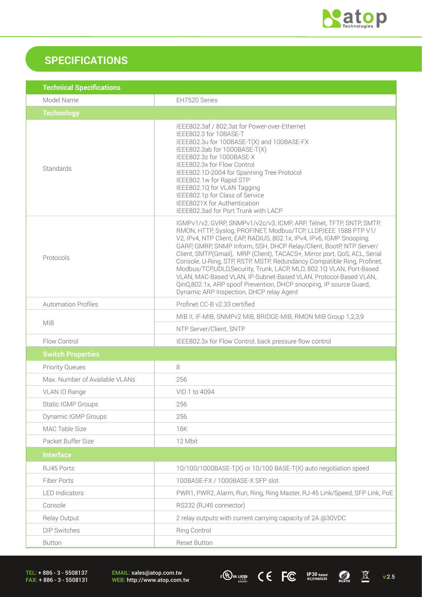

## **SPECIFICATIONS**

| <b>Technical Specifications</b> |                                                                                                                                                                                                                                                                                                                                                                                                                                                                                                                                                                                                                                                                                                                |  |
|---------------------------------|----------------------------------------------------------------------------------------------------------------------------------------------------------------------------------------------------------------------------------------------------------------------------------------------------------------------------------------------------------------------------------------------------------------------------------------------------------------------------------------------------------------------------------------------------------------------------------------------------------------------------------------------------------------------------------------------------------------|--|
| Model Name                      | EH7520 Series                                                                                                                                                                                                                                                                                                                                                                                                                                                                                                                                                                                                                                                                                                  |  |
| <b>Technology</b>               |                                                                                                                                                                                                                                                                                                                                                                                                                                                                                                                                                                                                                                                                                                                |  |
| Standards                       | IEEE802.3af / 802.3at for Power-over-Ethernet<br>IEEE802.3 for 10BASE-T<br>IEEE802.3u for 100BASE-T(X) and 100BASE-FX<br>IEEE802.3ab for 1000BASE-T(X)<br>IEEE802.3z for 1000BASE-X<br>IEEE802.3x for Flow Control<br>IEEE802.1D-2004 for Spanning Tree Protocol<br>IEEE802.1w for Rapid STP<br>IEEE802.1Q for VLAN Tagging<br>IEEE802.1p for Class of Service<br>IEEE8021X for Authentication<br>IEEE802.3ad for Port Trunk with LACP                                                                                                                                                                                                                                                                         |  |
| Protocols                       | IGMPv1/v2, GVRP, SNMPv1/v2c/v3, ICMP, ARP, Telnet, TFTP, SNTP, SMTP,<br>RMON, HTTP, Syslog, PROFINET, Modbus/TCP, LLDP, IEEE 1588 PTP V1/<br>V2, IPv4, NTP Client, EAP, RADIUS, 802.1x, IPv4, IPv6, IGMP Snooping,<br>GARP, GMRP, SNMP Inform, SSH, DHCP Relay/Client, BootP, NTP Server/<br>Client, SMTP(Gmail), MRP (Client), TACACS+, Mirror port, QoS, ACL, Serial<br>Console, U-Ring, STP, RSTP, MSTP, Redundancy Compatible Ring, Profinet,<br>Modbus/TCP,UDLD,Security, Trunk, LACP, MLD, 802.1Q VLAN, Port-Based<br>VLAN, MAC-Based VLAN, IP-Subnet-Based VLAN, Protocol-Based VLAN,<br>QinQ,802.1x, ARP spoof Prevention, DHCP snooping, IP source Guard,<br>Dynamic ARP Inspection, DHCP relay Agent |  |
| <b>Automation Profiles</b>      | Profinet CC-B v2.33 certified                                                                                                                                                                                                                                                                                                                                                                                                                                                                                                                                                                                                                                                                                  |  |
|                                 | MIB II, IF-MIB, SNMPv2 MIB, BRIDGE-MIB, RMON MIB Group 1,2,3,9                                                                                                                                                                                                                                                                                                                                                                                                                                                                                                                                                                                                                                                 |  |
| <b>MIB</b>                      | NTP Server/Client, SNTP                                                                                                                                                                                                                                                                                                                                                                                                                                                                                                                                                                                                                                                                                        |  |
| Flow Control                    | IEEE802.3x for Flow Control, back pressure flow control                                                                                                                                                                                                                                                                                                                                                                                                                                                                                                                                                                                                                                                        |  |
| <b>Switch Properties</b>        |                                                                                                                                                                                                                                                                                                                                                                                                                                                                                                                                                                                                                                                                                                                |  |
| <b>Priority Queues</b>          | 8                                                                                                                                                                                                                                                                                                                                                                                                                                                                                                                                                                                                                                                                                                              |  |
| Max. Number of Available VLANs  | 256                                                                                                                                                                                                                                                                                                                                                                                                                                                                                                                                                                                                                                                                                                            |  |
| <b>VLAN ID Range</b>            | VID 1 to 4094                                                                                                                                                                                                                                                                                                                                                                                                                                                                                                                                                                                                                                                                                                  |  |
| Static IGMP Groups              | 256                                                                                                                                                                                                                                                                                                                                                                                                                                                                                                                                                                                                                                                                                                            |  |
| Dynamic IGMP Groups             | 256                                                                                                                                                                                                                                                                                                                                                                                                                                                                                                                                                                                                                                                                                                            |  |
| MAC Table Size                  | 16K                                                                                                                                                                                                                                                                                                                                                                                                                                                                                                                                                                                                                                                                                                            |  |
| Packet Buffer Size              | 12 Mbit                                                                                                                                                                                                                                                                                                                                                                                                                                                                                                                                                                                                                                                                                                        |  |
| <b>Interface</b>                |                                                                                                                                                                                                                                                                                                                                                                                                                                                                                                                                                                                                                                                                                                                |  |
| RJ45 Ports                      | 10/100/1000BASE-T(X) or 10/100 BASE-T(X) auto negotiation speed                                                                                                                                                                                                                                                                                                                                                                                                                                                                                                                                                                                                                                                |  |
| Fiber Ports                     | 100BASE-FX / 1000BASE-X SFP slot                                                                                                                                                                                                                                                                                                                                                                                                                                                                                                                                                                                                                                                                               |  |
| <b>LED</b> Indicators           | PWR1, PWR2, Alarm, Run, Ring, Ring Master, RJ-45 Link/Speed, SFP Link, PoE                                                                                                                                                                                                                                                                                                                                                                                                                                                                                                                                                                                                                                     |  |
| Console                         | RS232 (RJ45 connector)                                                                                                                                                                                                                                                                                                                                                                                                                                                                                                                                                                                                                                                                                         |  |
| Relay Output                    | 2 relay outputs with current carrying capacity of 2A @30VDC                                                                                                                                                                                                                                                                                                                                                                                                                                                                                                                                                                                                                                                    |  |
| <b>DIP Switches</b>             | <b>Ring Control</b>                                                                                                                                                                                                                                                                                                                                                                                                                                                                                                                                                                                                                                                                                            |  |
| <b>Button</b>                   | <b>Reset Button</b>                                                                                                                                                                                                                                                                                                                                                                                                                                                                                                                                                                                                                                                                                            |  |

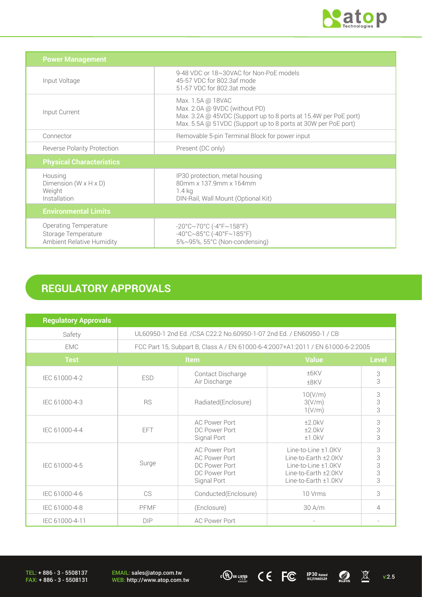

| <b>Power Management</b>                                                                 |                                                                                                                                                                                        |
|-----------------------------------------------------------------------------------------|----------------------------------------------------------------------------------------------------------------------------------------------------------------------------------------|
| Input Voltage                                                                           | 9-48 VDC or 18~30VAC for Non-PoE models<br>45-57 VDC for 802.3af mode<br>51-57 VDC for 802.3at mode                                                                                    |
| Input Current                                                                           | Max. 1.5A @ 18VAC<br>Max. 2.0A @ 9VDC (without PD)<br>Max. 3.2A @ 45VDC (Support up to 8 ports at 15.4W per PoE port)<br>Max. 5.5A @ 51VDC (Support up to 8 ports at 30W per PoE port) |
| Connector                                                                               | Removable 5-pin Terminal Block for power input                                                                                                                                         |
| <b>Reverse Polarity Protection</b>                                                      | Present (DC only)                                                                                                                                                                      |
| <b>Physical Characteristics</b>                                                         |                                                                                                                                                                                        |
| Housing<br>Dimension ( $W \times H \times D$ )<br>Weight<br>Installation                | IP30 protection, metal housing<br>80mm x 137.9mm x 164mm<br>1.4 kg<br>DIN-Rail, Wall Mount (Optional Kit)                                                                              |
| <b>Environmental Limits</b>                                                             |                                                                                                                                                                                        |
| <b>Operating Temperature</b><br>Storage Temperature<br><b>Ambient Relative Humidity</b> | $-20^{\circ}$ C $\sim$ 70°C (-4°F $\sim$ 158°F)<br>$-40^{\circ}$ C $\sim$ 85°C (-40°F $\sim$ 185°F)<br>5%~95%, 55°C (Non-condensing)                                                   |

# **REGULATORY APPROVALS**

| <b>Regulatory Approvals</b> |                                                                                 |                                                                                        |                                                                                                                    |                         |
|-----------------------------|---------------------------------------------------------------------------------|----------------------------------------------------------------------------------------|--------------------------------------------------------------------------------------------------------------------|-------------------------|
| Safety                      | UL60950-1 2nd Ed. /CSA C22.2 No.60950-1-07 2nd Ed. / EN60950-1 / CB             |                                                                                        |                                                                                                                    |                         |
| <b>EMC</b>                  | FCC Part 15, Subpart B, Class A / EN 61000-6-4:2007+A1:2011 / EN 61000-6-2:2005 |                                                                                        |                                                                                                                    |                         |
| <b>Test</b>                 | Item                                                                            |                                                                                        | <b>Value</b>                                                                                                       | <b>Level</b>            |
| IEC 61000-4-2               | <b>ESD</b>                                                                      | Contact Discharge<br>Air Discharge                                                     | ±6KV<br>±8KV                                                                                                       | 3<br>3                  |
| IEC 61000-4-3               | <b>RS</b>                                                                       | Radiated(Enclosure)                                                                    | 10(V/m)<br>3(V/m)<br>1(V/m)                                                                                        | 3<br>3<br>3             |
| IEC 61000-4-4               | FFT                                                                             | <b>AC Power Port</b><br>DC Power Port<br>Signal Port                                   | ±2.0kV<br>±2.0kV<br>±1.0kV                                                                                         | 3<br>3<br>3             |
| IEC 61000-4-5               | Surge                                                                           | AC Power Port<br><b>AC Power Port</b><br>DC Power Port<br>DC Power Port<br>Signal Port | Line-to-Line ±1.0KV<br>Line-to-Earth ±2.0KV<br>Line-to-Line ±1.0KV<br>Line-to-Earth ±2.0KV<br>Line-to-Earth ±1.0KV | 3<br>3<br>$\frac{3}{3}$ |
| IEC 61000-4-6               | CS                                                                              | Conducted(Enclosure)                                                                   | 10 Vrms                                                                                                            | 3                       |
| IEC 61000-4-8               | PFMF                                                                            | (Enclosure)                                                                            | $30$ A/m                                                                                                           | 4                       |
| IEC 61000-4-11              | <b>DIP</b>                                                                      | <b>AC Power Port</b>                                                                   | $\sim$                                                                                                             |                         |

TEL: + 886 - 3 - 5508137 FAX: + 886 - 3 - 5508131 EMAIL: sales@atop.com.tw<br>WEB: http://www.atop.com.tw **WEB: http://www.atop.com.tw** v:2.5 **30 ICC ICC ICO ICO ICO ICO ICO ICO ICO ICO ICO ICO ICO ICO ICO ICO ICO ICO ICO ICO ICO ICO ICO ICO ICO ICO ICO ICO ICO ICO**